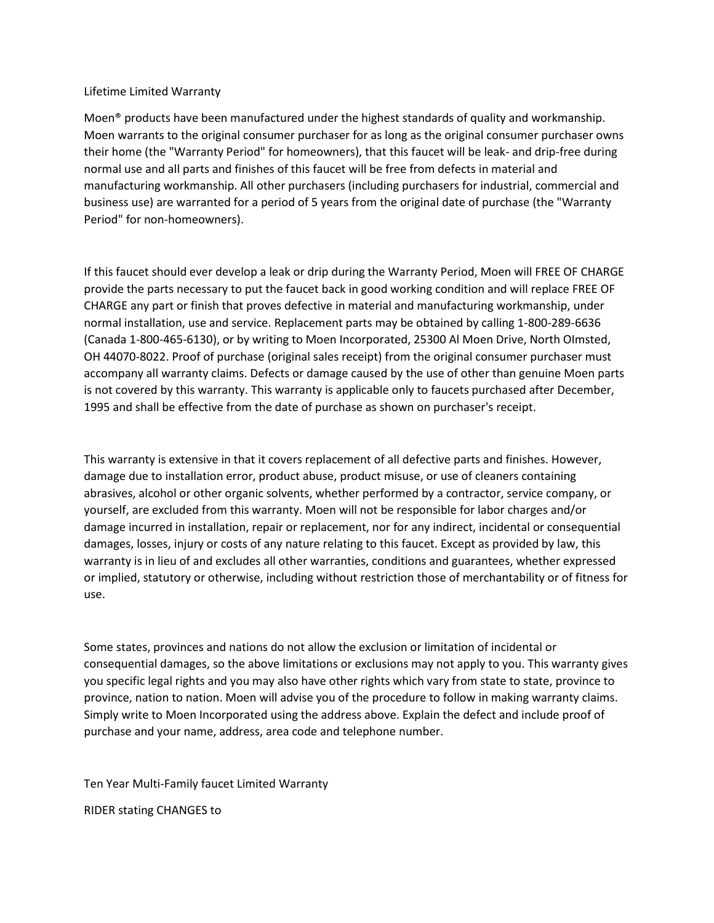#### Lifetime Limited Warranty

Moen® products have been manufactured under the highest standards of quality and workmanship. Moen warrants to the original consumer purchaser for as long as the original consumer purchaser owns their home (the "Warranty Period" for homeowners), that this faucet will be leak- and drip-free during normal use and all parts and finishes of this faucet will be free from defects in material and manufacturing workmanship. All other purchasers (including purchasers for industrial, commercial and business use) are warranted for a period of 5 years from the original date of purchase (the "Warranty Period" for non-homeowners).

If this faucet should ever develop a leak or drip during the Warranty Period, Moen will FREE OF CHARGE provide the parts necessary to put the faucet back in good working condition and will replace FREE OF CHARGE any part or finish that proves defective in material and manufacturing workmanship, under normal installation, use and service. Replacement parts may be obtained by calling 1-800-289-6636 (Canada 1-800-465-6130), or by writing to Moen Incorporated, 25300 Al Moen Drive, North OImsted, OH 44070-8022. Proof of purchase (original sales receipt) from the original consumer purchaser must accompany all warranty claims. Defects or damage caused by the use of other than genuine Moen parts is not covered by this warranty. This warranty is applicable only to faucets purchased after December, 1995 and shall be effective from the date of purchase as shown on purchaser's receipt.

This warranty is extensive in that it covers replacement of all defective parts and finishes. However, damage due to installation error, product abuse, product misuse, or use of cleaners containing abrasives, alcohol or other organic solvents, whether performed by a contractor, service company, or yourself, are excluded from this warranty. Moen will not be responsible for labor charges and/or damage incurred in installation, repair or replacement, nor for any indirect, incidental or consequential damages, losses, injury or costs of any nature relating to this faucet. Except as provided by law, this warranty is in lieu of and excludes all other warranties, conditions and guarantees, whether expressed or implied, statutory or otherwise, including without restriction those of merchantability or of fitness for use.

Some states, provinces and nations do not allow the exclusion or limitation of incidental or consequential damages, so the above limitations or exclusions may not apply to you. This warranty gives you specific legal rights and you may also have other rights which vary from state to state, province to province, nation to nation. Moen will advise you of the procedure to follow in making warranty claims. Simply write to Moen Incorporated using the address above. Explain the defect and include proof of purchase and your name, address, area code and telephone number.

Ten Year Multi-Family faucet Limited Warranty RIDER stating CHANGES to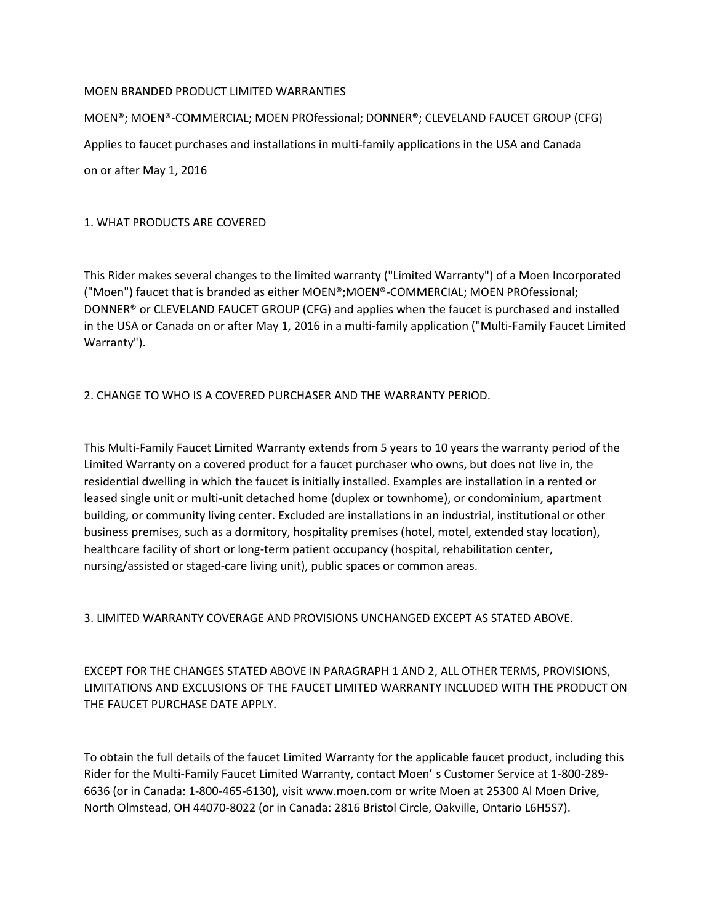### MOEN BRANDED PRODUCT LIMITED WARRANTIES

MOEN®; MOEN®-COMMERCIAL; MOEN PROfessional; DONNER®; CLEVELAND FAUCET GROUP (CFG) Applies to faucet purchases and installations in multi-family applications in the USA and Canada on or after May 1, 2016

1. WHAT PRODUCTS ARE COVERED

This Rider makes several changes to the limited warranty ("Limited Warranty") of a Moen Incorporated ("Moen") faucet that is branded as either MOEN®;MOEN®-COMMERCIAL; MOEN PROfessional; DONNER® or CLEVELAND FAUCET GROUP (CFG) and applies when the faucet is purchased and installed in the USA or Canada on or after May 1, 2016 in a multi-family application ("Multi-Family Faucet Limited Warranty").

# 2. CHANGE TO WHO IS A COVERED PURCHASER AND THE WARRANTY PERIOD.

This Multi-Family Faucet Limited Warranty extends from 5 years to 10 years the warranty period of the Limited Warranty on a covered product for a faucet purchaser who owns, but does not live in, the residential dwelling in which the faucet is initially installed. Examples are installation in a rented or leased single unit or multi-unit detached home (duplex or townhome), or condominium, apartment building, or community living center. Excluded are installations in an industrial, institutional or other business premises, such as a dormitory, hospitality premises (hotel, motel, extended stay location), healthcare facility of short or long-term patient occupancy (hospital, rehabilitation center, nursing/assisted or staged-care living unit), public spaces or common areas.

3. LIMITED WARRANTY COVERAGE AND PROVISIONS UNCHANGED EXCEPT AS STATED ABOVE.

EXCEPT FOR THE CHANGES STATED ABOVE IN PARAGRAPH 1 AND 2, ALL OTHER TERMS, PROVISIONS, LIMITATIONS AND EXCLUSIONS OF THE FAUCET LIMITED WARRANTY INCLUDED WITH THE PRODUCT ON THE FAUCET PURCHASE DATE APPLY.

To obtain the full details of the faucet Limited Warranty for the applicable faucet product, including this Rider for the Multi-Family Faucet Limited Warranty, contact Moen' s Customer Service at 1-800-289- 6636 (or in Canada: 1-800-465-6130), visit www.moen.com or write Moen at 25300 Al Moen Drive, North Olmstead, OH 44070-8022 (or in Canada: 2816 Bristol Circle, Oakville, Ontario L6H5S7).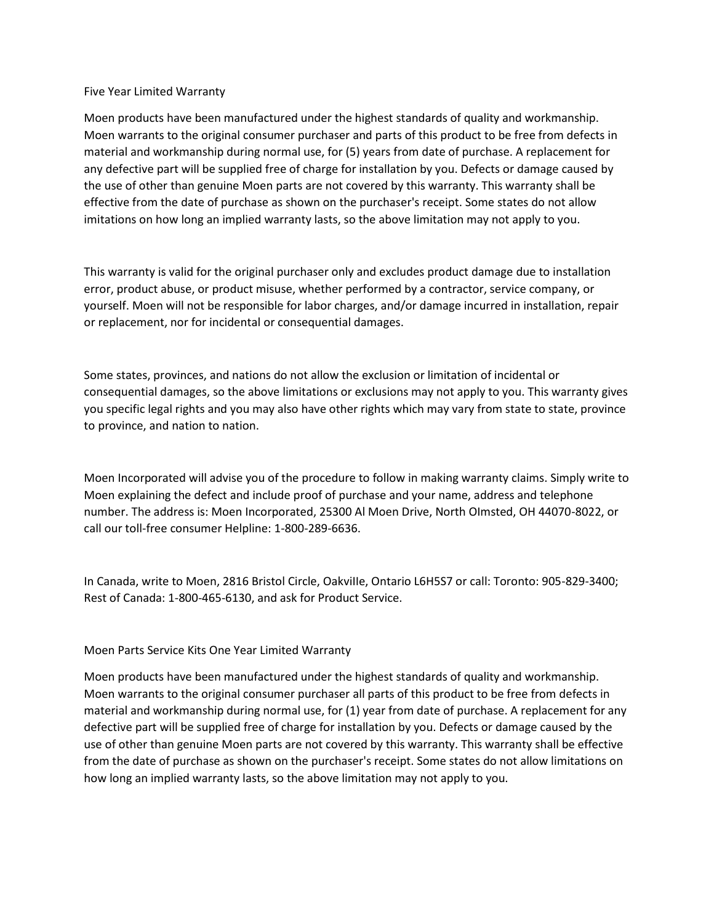#### Five Year Limited Warranty

Moen products have been manufactured under the highest standards of quality and workmanship. Moen warrants to the original consumer purchaser and parts of this product to be free from defects in material and workmanship during normal use, for (5) years from date of purchase. A replacement for any defective part will be supplied free of charge for installation by you. Defects or damage caused by the use of other than genuine Moen parts are not covered by this warranty. This warranty shall be effective from the date of purchase as shown on the purchaser's receipt. Some states do not allow imitations on how long an implied warranty lasts, so the above limitation may not apply to you.

This warranty is valid for the original purchaser only and excludes product damage due to installation error, product abuse, or product misuse, whether performed by a contractor, service company, or yourself. Moen will not be responsible for labor charges, and/or damage incurred in installation, repair or replacement, nor for incidental or consequential damages.

Some states, provinces, and nations do not allow the exclusion or limitation of incidental or consequential damages, so the above limitations or exclusions may not apply to you. This warranty gives you specific legal rights and you may also have other rights which may vary from state to state, province to province, and nation to nation.

Moen Incorporated will advise you of the procedure to follow in making warranty claims. Simply write to Moen explaining the defect and include proof of purchase and your name, address and telephone number. The address is: Moen Incorporated, 25300 Al Moen Drive, North OImsted, OH 44070-8022, or call our toll-free consumer Helpline: 1-800-289-6636.

In Canada, write to Moen, 2816 Bristol Circle, OakviIIe, Ontario L6H5S7 or call: Toronto: 905-829-3400; Rest of Canada: 1-800-465-6130, and ask for Product Service.

# Moen Parts Service Kits One Year Limited Warranty

Moen products have been manufactured under the highest standards of quality and workmanship. Moen warrants to the original consumer purchaser all parts of this product to be free from defects in material and workmanship during normal use, for (1) year from date of purchase. A replacement for any defective part will be supplied free of charge for installation by you. Defects or damage caused by the use of other than genuine Moen parts are not covered by this warranty. This warranty shall be effective from the date of purchase as shown on the purchaser's receipt. Some states do not allow limitations on how long an implied warranty lasts, so the above limitation may not apply to you.